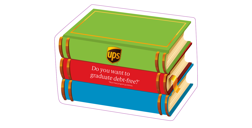